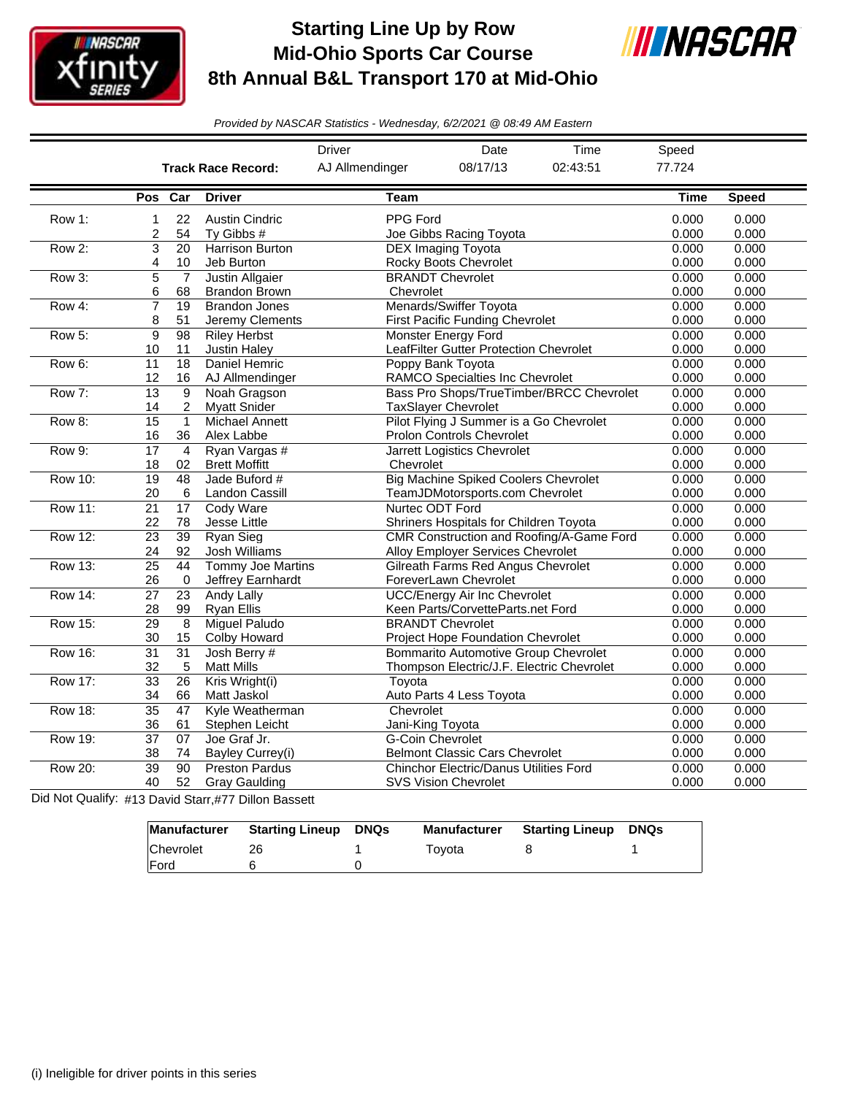

## **Starting Line Up by Row Mid-Ohio Sports Car Course 8th Annual B&L Transport 170 at Mid-Ohio**



*Provided by NASCAR Statistics - Wednesday, 6/2/2021 @ 08:49 AM Eastern*

|                |                 |                 |                           | <b>Driver</b>    | Date                                          | Time                                     | Speed       |              |
|----------------|-----------------|-----------------|---------------------------|------------------|-----------------------------------------------|------------------------------------------|-------------|--------------|
|                |                 |                 | <b>Track Race Record:</b> | AJ Allmendinger  | 08/17/13                                      | 02:43:51                                 |             |              |
|                | Pos             | Car             | <b>Driver</b>             | Team             |                                               |                                          | <b>Time</b> | <b>Speed</b> |
| Row 1:         | 1               | 22              | <b>Austin Cindric</b>     | PPG Ford         |                                               |                                          | 0.000       | 0.000        |
|                | 2               | 54              | Ty Gibbs #                |                  | Joe Gibbs Racing Toyota                       |                                          | 0.000       | 0.000        |
| Row 2:         | 3               | 20              | Harrison Burton           |                  | <b>DEX Imaging Toyota</b>                     |                                          | 0.000       | 0.000        |
|                | 4               | 10              | Jeb Burton                |                  | Rocky Boots Chevrolet                         |                                          | 0.000       | 0.000        |
| Row 3:         | 5               | $\overline{7}$  | <b>Justin Allgaier</b>    |                  | <b>BRANDT Chevrolet</b>                       |                                          | 0.000       | 0.000        |
|                | 6               | 68              | <b>Brandon Brown</b>      | Chevrolet        |                                               |                                          | 0.000       | 0.000        |
| Row 4:         | $\overline{7}$  | $\overline{19}$ | <b>Brandon Jones</b>      |                  | Menards/Swiffer Toyota                        |                                          | 0.000       | 0.000        |
|                | 8               | 51              | Jeremy Clements           |                  | First Pacific Funding Chevrolet               |                                          | 0.000       | 0.000        |
| Row 5:         | 9               | 98              | <b>Riley Herbst</b>       |                  | <b>Monster Energy Ford</b>                    |                                          | 0.000       | 0.000        |
|                | 10              | 11              | <b>Justin Haley</b>       |                  | LeafFilter Gutter Protection Chevrolet        |                                          | 0.000       | 0.000        |
| Row 6:         | 11              | 18              | Daniel Hemric             |                  | Poppy Bank Toyota                             |                                          | 0.000       | 0.000        |
|                | 12              | 16              | AJ Allmendinger           |                  | <b>RAMCO Specialties Inc Chevrolet</b>        |                                          | 0.000       | 0.000        |
| Row 7:         | $\overline{13}$ | $\overline{9}$  | Noah Gragson              |                  |                                               | Bass Pro Shops/TrueTimber/BRCC Chevrolet | 0.000       | 0.000        |
|                | 14              | $\overline{c}$  | <b>Myatt Snider</b>       |                  | <b>TaxSlayer Chevrolet</b>                    |                                          | 0.000       | 0.000        |
| Row 8:         | $\overline{15}$ | $\mathbf{1}$    | <b>Michael Annett</b>     |                  | Pilot Flying J Summer is a Go Chevrolet       |                                          | 0.000       | 0.000        |
|                | 16              | 36              | Alex Labbe                |                  | <b>Prolon Controls Chevrolet</b>              |                                          | 0.000       | 0.000        |
| Row 9:         | 17              | $\overline{4}$  | Ryan Vargas #             |                  | Jarrett Logistics Chevrolet                   |                                          | 0.000       | 0.000        |
|                | 18              | 02              | <b>Brett Moffitt</b>      | Chevrolet        |                                               |                                          | 0.000       | 0.000        |
| <b>Row 10:</b> | $\overline{19}$ | 48              | Jade Buford #             |                  | <b>Big Machine Spiked Coolers Chevrolet</b>   |                                          | 0.000       | 0.000        |
|                | 20              | 6               | Landon Cassill            |                  | TeamJDMotorsports.com Chevrolet               |                                          | 0.000       | 0.000        |
| <b>Row 11:</b> | $\overline{21}$ | 17              | Cody Ware                 |                  | Nurtec ODT Ford                               |                                          | 0.000       | 0.000        |
|                | 22              | 78              | Jesse Little              |                  | Shriners Hospitals for Children Toyota        |                                          | 0.000       | 0.000        |
| <b>Row 12:</b> | 23              | $\overline{39}$ | Ryan Sieg                 |                  |                                               | CMR Construction and Roofing/A-Game Ford | 0.000       | 0.000        |
|                | 24              | 92              | Josh Williams             |                  | Alloy Employer Services Chevrolet             |                                          | 0.000       | 0.000        |
| Row 13:        | $\overline{25}$ | 44              | <b>Tommy Joe Martins</b>  |                  | <b>Gilreath Farms Red Angus Chevrolet</b>     |                                          | 0.000       | 0.000        |
|                | 26              | $\mathbf 0$     | Jeffrey Earnhardt         |                  | ForeverLawn Chevrolet                         |                                          | 0.000       | 0.000        |
| <b>Row 14:</b> | $\overline{27}$ | 23              | <b>Andy Lally</b>         |                  | <b>UCC/Energy Air Inc Chevrolet</b>           |                                          | 0.000       | 0.000        |
|                | 28              | 99              | <b>Ryan Ellis</b>         |                  | Keen Parts/CorvetteParts.net Ford             |                                          | 0.000       | 0.000        |
| <b>Row 15:</b> | 29              | 8               | <b>Miquel Paludo</b>      |                  | <b>BRANDT Chevrolet</b>                       |                                          | 0.000       | 0.000        |
|                | 30              | 15              | Colby Howard              |                  | Project Hope Foundation Chevrolet             |                                          | 0.000       | 0.000        |
| <b>Row 16:</b> | $\overline{31}$ | 31              | Josh Berry #              |                  | <b>Bommarito Automotive Group Chevrolet</b>   |                                          | 0.000       | 0.000        |
|                | 32              | 5               | <b>Matt Mills</b>         |                  | Thompson Electric/J.F. Electric Chevrolet     |                                          | 0.000       | 0.000        |
| <b>Row 17:</b> | $\overline{33}$ | 26              | Kris Wright(i)            | Toyota           |                                               |                                          | 0.000       | 0.000        |
|                | 34              | 66              | Matt Jaskol               |                  | Auto Parts 4 Less Toyota                      |                                          | 0.000       | 0.000        |
| <b>Row 18:</b> | $\overline{35}$ | 47              | Kyle Weatherman           | Chevrolet        |                                               |                                          | 0.000       | 0.000        |
|                | 36              | 61              | Stephen Leicht            | Jani-King Toyota |                                               |                                          | 0.000       | 0.000        |
| Row 19:        | $\overline{37}$ | 07              | Joe Graf Jr.              |                  | <b>G-Coin Chevrolet</b>                       |                                          | 0.000       | 0.000        |
|                | 38              | 74              | Bayley Currey(i)          |                  | <b>Belmont Classic Cars Chevrolet</b>         |                                          | 0.000       | 0.000        |
| <b>Row 20:</b> | $\overline{39}$ | 90              | <b>Preston Pardus</b>     |                  | <b>Chinchor Electric/Danus Utilities Ford</b> |                                          | 0.000       | 0.000        |
|                | 40              | 52              | <b>Gray Gaulding</b>      |                  | <b>SVS Vision Chevrolet</b>                   |                                          | 0.000       | 0.000        |

Did Not Qualify: #13 David Starr,#77 Dillon Bassett

|              | Manufacturer Starting Lineup | DNQs | <b>Manufacturer</b> | <b>Starting Lineup DNQs</b> |  |
|--------------|------------------------------|------|---------------------|-----------------------------|--|
| Chevrolet    |                              |      | Tovota              |                             |  |
| <b>IFord</b> |                              |      |                     |                             |  |